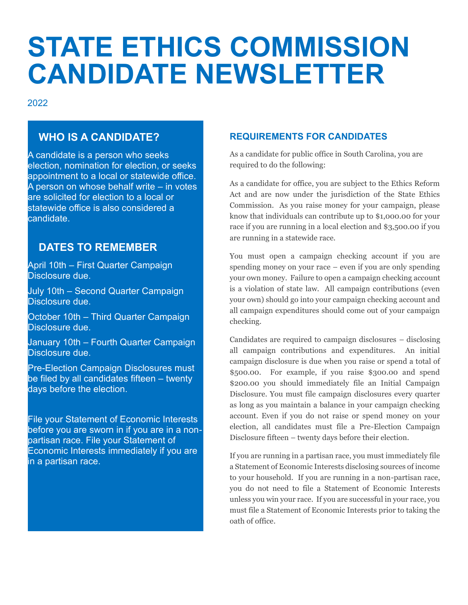# **STATE ETHICS COMMISSION CANDIDATE NEWSLETTER**

2022

# **WHO IS A CANDIDATE?**

A candidate is a person who seeks election, nomination for election, or seeks appointment to a local or statewide office. A person on whose behalf write – in votes are solicited for election to a local or statewide office is also considered a candidate.

## **DATES TO REMEMBER**

April 10th – First Quarter Campaign Disclosure due.

July 10th – Second Quarter Campaign Disclosure due.

October 10th – Third Quarter Campaign Disclosure due.

January 10th – Fourth Quarter Campaign Disclosure due.

Pre-Election Campaign Disclosures must be filed by all candidates fifteen – twenty days before the election.

File your Statement of Economic Interests before you are sworn in if you are in a nonpartisan race. File your Statement of Economic Interests immediately if you are in a partisan race.

#### **REQUIREMENTS FOR CANDIDATES**

As a candidate for public office in South Carolina, you are required to do the following:

As a candidate for office, you are subject to the Ethics Reform Act and are now under the jurisdiction of the State Ethics Commission. As you raise money for your campaign, please know that individuals can contribute up to \$1,000.00 for your race if you are running in a local election and \$3,500.00 if you are running in a statewide race.

You must open a campaign checking account if you are spending money on your race – even if you are only spending your own money. Failure to open a campaign checking account is a violation of state law. All campaign contributions (even your own) should go into your campaign checking account and all campaign expenditures should come out of your campaign checking.

Candidates are required to campaign disclosures – disclosing all campaign contributions and expenditures. An initial campaign disclosure is due when you raise or spend a total of \$500.00. For example, if you raise \$300.00 and spend \$200.00 you should immediately file an Initial Campaign Disclosure. You must file campaign disclosures every quarter as long as you maintain a balance in your campaign checking account. Even if you do not raise or spend money on your election, all candidates must file a Pre-Election Campaign Disclosure fifteen – twenty days before their election.

If you are running in a partisan race, you must immediately file a Statement of Economic Interests disclosing sources of income to your household. If you are running in a non-partisan race, you do not need to file a Statement of Economic Interests unless you win your race. If you are successful in your race, you must file a Statement of Economic Interests prior to taking the oath of office.